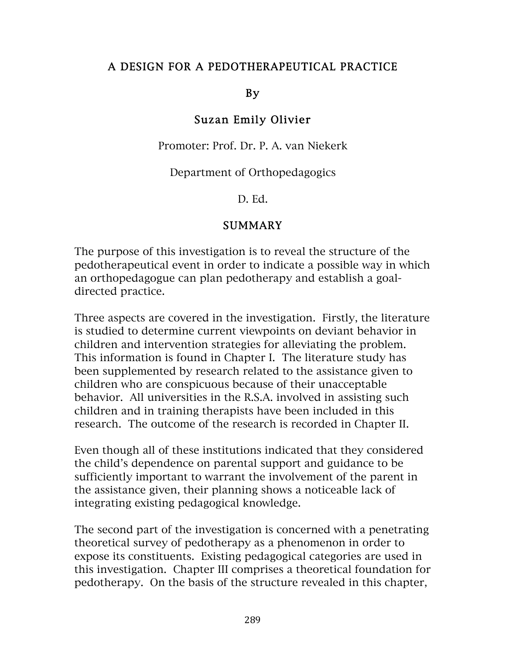## A DESIGN FOR A PEDOTHERAPEUTICAL PRACTICE

## By

## Suzan Emily Olivier

Promoter: Prof. Dr. P. A. van Niekerk

Department of Orthopedagogics

D. Ed.

## SUMMARY

The purpose of this investigation is to reveal the structure of the pedotherapeutical event in order to indicate a possible way in which an orthopedagogue can plan pedotherapy and establish a goaldirected practice.

Three aspects are covered in the investigation. Firstly, the literature is studied to determine current viewpoints on deviant behavior in children and intervention strategies for alleviating the problem. This information is found in Chapter I. The literature study has been supplemented by research related to the assistance given to children who are conspicuous because of their unacceptable behavior. All universities in the R.S.A. involved in assisting such children and in training therapists have been included in this research. The outcome of the research is recorded in Chapter II.

Even though all of these institutions indicated that they considered the child's dependence on parental support and guidance to be sufficiently important to warrant the involvement of the parent in the assistance given, their planning shows a noticeable lack of integrating existing pedagogical knowledge.

The second part of the investigation is concerned with a penetrating theoretical survey of pedotherapy as a phenomenon in order to expose its constituents. Existing pedagogical categories are used in this investigation. Chapter III comprises a theoretical foundation for pedotherapy. On the basis of the structure revealed in this chapter,